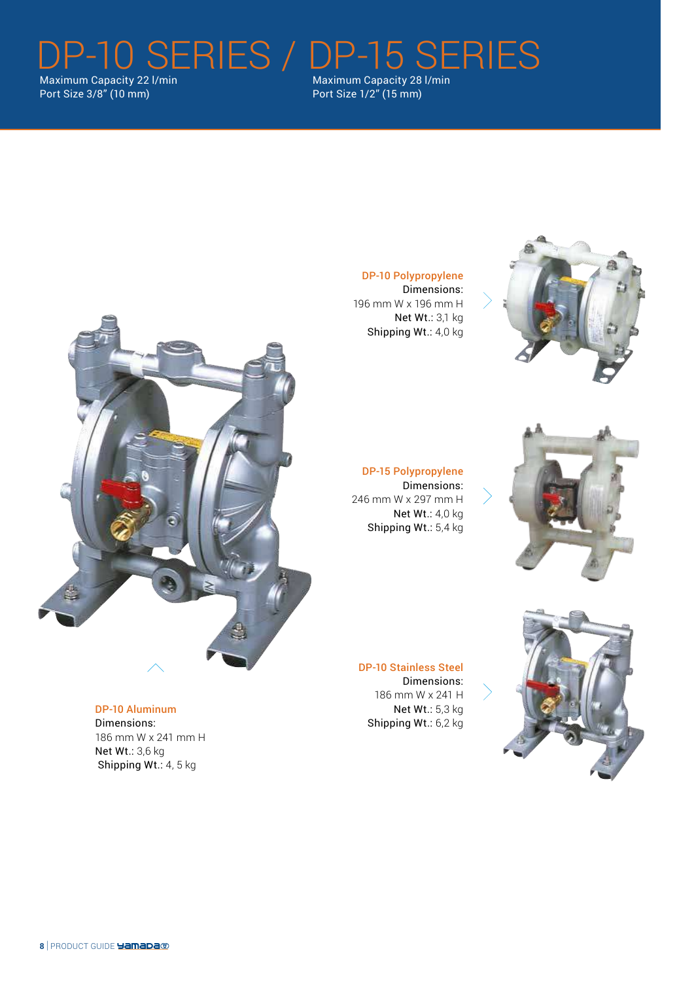DP-10 SERIES / DP-15 SERIES Maximum Capacity 28 l/min

Maximum Capacity 22 l/min Port Size 3/8" (10 mm)

Port Size 1/2" (15 mm)



# DP-10 Polypropylene

Dimensions: 196 mm W x 196 mm H Net Wt.: 3,1 kg Shipping Wt.: 4,0 kg



DP-15 Polypropylene Dimensions: 246 mm W x 297 mm H Net Wt.: 4,0 kg Shipping Wt.: 5,4 kg



DP-10 Stainless Steel Dimensions: 186 mm W x 241 H Net Wt.: 5,3 kg Shipping Wt.: 6,2 kg

DP-10 Aluminum

Dimensions: 186 mm W x 241 mm H Net Wt.: 3,6 kg Shipping Wt.: 4, 5 kg